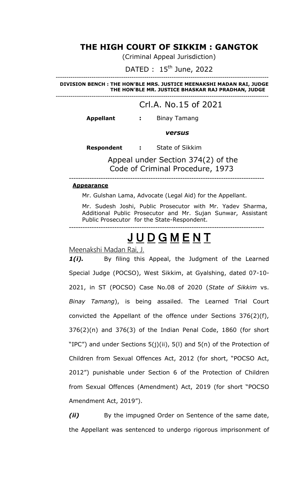## **THE HIGH COURT OF SIKKIM : GANGTOK**

(Criminal Appeal Jurisdiction)

DATED : 15<sup>th</sup> June, 2022

**DIVISION BENCH : THE HON'BLE MRS. JUSTICE MEENAKSHI MADAN RAI, JUDGE THE HON'BLE MR. JUSTICE BHASKAR RAJ PRADHAN, JUDGE** -----------------------------------------------------------------------------------------------------

-----------------------------------------------------------------------------------------------------

## Crl.A. No.15 of 2021

**Appellant :** Binay Tamang

*versus*

 **Respondent :** State of Sikkim

 Appeal under Section 374(2) of the Code of Criminal Procedure, 1973

--------------------------------------------------------------------------------------

### **Appearance**

Mr. Gulshan Lama, Advocate (Legal Aid) for the Appellant.

Mr. Sudesh Joshi, Public Prosecutor with Mr. Yadev Sharma, Additional Public Prosecutor and Mr. Sujan Sunwar, Assistant Public Prosecutor for the State-Respondent.

# JUDGMENT

--------------------------------------------------------------------------------------

Meenakshi Madan Rai, J.

1(i). By filing this Appeal, the Judgment of the Learned Special Judge (POCSO), West Sikkim, at Gyalshing, dated 07-10- 2021, in ST (POCSO) Case No.08 of 2020 (*State of Sikkim* vs. *Binay Tamang*), is being assailed. The Learned Trial Court convicted the Appellant of the offence under Sections 376(2)(f), 376(2)(n) and 376(3) of the Indian Penal Code, 1860 (for short "IPC") and under Sections 5(j)(ii), 5(l) and 5(n) of the Protection of Children from Sexual Offences Act, 2012 (for short, "POCSO Act, 2012") punishable under Section 6 of the Protection of Children from Sexual Offences (Amendment) Act, 2019 (for short "POCSO Amendment Act, 2019").

*(ii)* By the impugned Order on Sentence of the same date, the Appellant was sentenced to undergo rigorous imprisonment of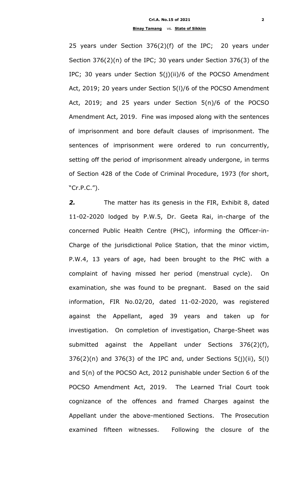25 years under Section 376(2)(f) of the IPC; 20 years under Section 376(2)(n) of the IPC; 30 years under Section 376(3) of the IPC; 30 years under Section 5(j)(ii)/6 of the POCSO Amendment Act, 2019; 20 years under Section 5(l)/6 of the POCSO Amendment Act, 2019; and 25 years under Section 5(n)/6 of the POCSO Amendment Act, 2019. Fine was imposed along with the sentences of imprisonment and bore default clauses of imprisonment. The sentences of imprisonment were ordered to run concurrently, setting off the period of imprisonment already undergone, in terms of Section 428 of the Code of Criminal Procedure, 1973 (for short, "Cr.P.C.").

*2.* The matter has its genesis in the FIR, Exhibit 8, dated 11-02-2020 lodged by P.W.5, Dr. Geeta Rai, in-charge of the concerned Public Health Centre (PHC), informing the Officer-in-Charge of the jurisdictional Police Station, that the minor victim, P.W.4, 13 years of age, had been brought to the PHC with a complaint of having missed her period (menstrual cycle). On examination, she was found to be pregnant. Based on the said information, FIR No.02/20, dated 11-02-2020, was registered against the Appellant, aged 39 years and taken up for investigation. On completion of investigation, Charge-Sheet was submitted against the Appellant under Sections 376(2)(f),  $376(2)(n)$  and  $376(3)$  of the IPC and, under Sections  $5(j)(ii)$ ,  $5(l)$ and 5(n) of the POCSO Act, 2012 punishable under Section 6 of the POCSO Amendment Act, 2019. The Learned Trial Court took cognizance of the offences and framed Charges against the Appellant under the above-mentioned Sections. The Prosecution examined fifteen witnesses. Following the closure of the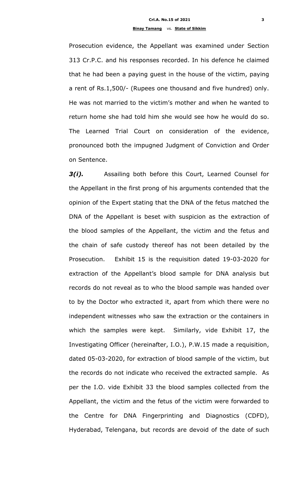Prosecution evidence, the Appellant was examined under Section 313 Cr.P.C. and his responses recorded. In his defence he claimed that he had been a paying guest in the house of the victim, paying a rent of Rs.1,500/- (Rupees one thousand and five hundred) only. He was not married to the victim"s mother and when he wanted to return home she had told him she would see how he would do so. The Learned Trial Court on consideration of the evidence, pronounced both the impugned Judgment of Conviction and Order on Sentence.

*3(i).* Assailing both before this Court, Learned Counsel for the Appellant in the first prong of his arguments contended that the opinion of the Expert stating that the DNA of the fetus matched the DNA of the Appellant is beset with suspicion as the extraction of the blood samples of the Appellant, the victim and the fetus and the chain of safe custody thereof has not been detailed by the Prosecution. Exhibit 15 is the requisition dated 19-03-2020 for extraction of the Appellant's blood sample for DNA analysis but records do not reveal as to who the blood sample was handed over to by the Doctor who extracted it, apart from which there were no independent witnesses who saw the extraction or the containers in which the samples were kept. Similarly, vide Exhibit 17, the Investigating Officer (hereinafter, I.O.), P.W.15 made a requisition, dated 05-03-2020, for extraction of blood sample of the victim, but the records do not indicate who received the extracted sample. As per the I.O. vide Exhibit 33 the blood samples collected from the Appellant, the victim and the fetus of the victim were forwarded to the Centre for DNA Fingerprinting and Diagnostics (CDFD), Hyderabad, Telengana, but records are devoid of the date of such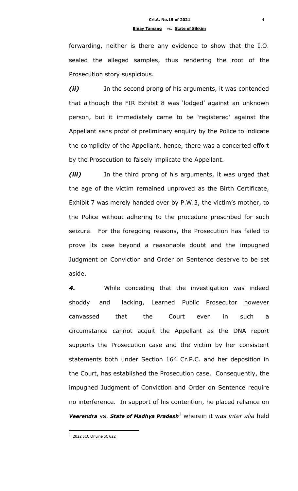forwarding, neither is there any evidence to show that the I.O. sealed the alleged samples, thus rendering the root of the Prosecution story suspicious.

*(ii)* In the second prong of his arguments, it was contended that although the FIR Exhibit 8 was "lodged" against an unknown person, but it immediately came to be 'registered' against the Appellant sans proof of preliminary enquiry by the Police to indicate the complicity of the Appellant, hence, there was a concerted effort by the Prosecution to falsely implicate the Appellant.

*(iii)* In the third prong of his arguments, it was urged that the age of the victim remained unproved as the Birth Certificate, Exhibit 7 was merely handed over by P.W.3, the victim's mother, to the Police without adhering to the procedure prescribed for such seizure. For the foregoing reasons, the Prosecution has failed to prove its case beyond a reasonable doubt and the impugned Judgment on Conviction and Order on Sentence deserve to be set aside.

*4.* While conceding that the investigation was indeed shoddy and lacking, Learned Public Prosecutor however canvassed that the Court even in such a circumstance cannot acquit the Appellant as the DNA report supports the Prosecution case and the victim by her consistent statements both under Section 164 Cr.P.C. and her deposition in the Court, has established the Prosecution case. Consequently, the impugned Judgment of Conviction and Order on Sentence require no interference. In support of his contention, he placed reliance on *Veerendra* vs. *State of Madhya Pradesh*<sup>1</sup> wherein it was *inter alia* held

1

 $1$  2022 SCC OnLine SC 622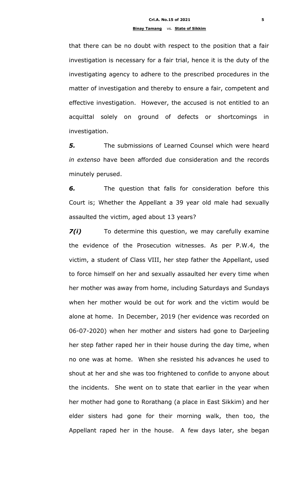that there can be no doubt with respect to the position that a fair investigation is necessary for a fair trial, hence it is the duty of the investigating agency to adhere to the prescribed procedures in the matter of investigation and thereby to ensure a fair, competent and effective investigation. However, the accused is not entitled to an acquittal solely on ground of defects or shortcomings in investigation.

*5.* The submissions of Learned Counsel which were heard *in extenso* have been afforded due consideration and the records minutely perused.

*6.* The question that falls for consideration before this Court is; Whether the Appellant a 39 year old male had sexually assaulted the victim, aged about 13 years?

*7(i)* To determine this question, we may carefully examine the evidence of the Prosecution witnesses. As per P.W.4, the victim, a student of Class VIII, her step father the Appellant, used to force himself on her and sexually assaulted her every time when her mother was away from home, including Saturdays and Sundays when her mother would be out for work and the victim would be alone at home. In December, 2019 (her evidence was recorded on 06-07-2020) when her mother and sisters had gone to Darjeeling her step father raped her in their house during the day time, when no one was at home. When she resisted his advances he used to shout at her and she was too frightened to confide to anyone about the incidents. She went on to state that earlier in the year when her mother had gone to Rorathang (a place in East Sikkim) and her elder sisters had gone for their morning walk, then too, the Appellant raped her in the house. A few days later, she began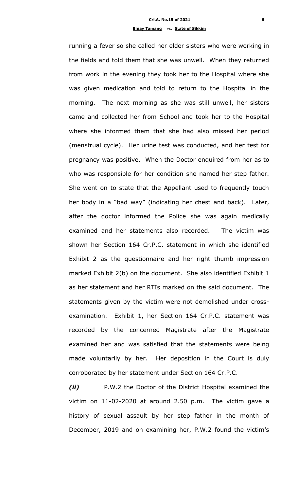running a fever so she called her elder sisters who were working in the fields and told them that she was unwell. When they returned from work in the evening they took her to the Hospital where she was given medication and told to return to the Hospital in the morning. The next morning as she was still unwell, her sisters came and collected her from School and took her to the Hospital where she informed them that she had also missed her period (menstrual cycle). Her urine test was conducted, and her test for pregnancy was positive. When the Doctor enquired from her as to who was responsible for her condition she named her step father. She went on to state that the Appellant used to frequently touch her body in a "bad way" (indicating her chest and back). Later, after the doctor informed the Police she was again medically examined and her statements also recorded. The victim was shown her Section 164 Cr.P.C. statement in which she identified Exhibit 2 as the questionnaire and her right thumb impression marked Exhibit 2(b) on the document. She also identified Exhibit 1 as her statement and her RTIs marked on the said document. The statements given by the victim were not demolished under crossexamination. Exhibit 1, her Section 164 Cr.P.C. statement was recorded by the concerned Magistrate after the Magistrate examined her and was satisfied that the statements were being made voluntarily by her. Her deposition in the Court is duly corroborated by her statement under Section 164 Cr.P.C.

*(ii)* P.W.2 the Doctor of the District Hospital examined the victim on 11-02-2020 at around 2.50 p.m. The victim gave a history of sexual assault by her step father in the month of December, 2019 and on examining her, P.W.2 found the victim's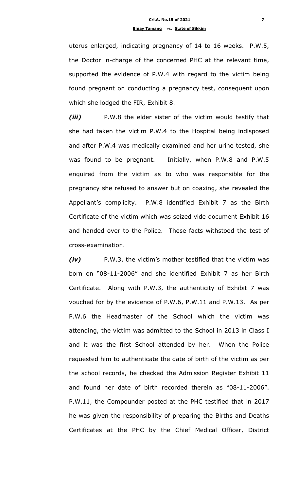uterus enlarged, indicating pregnancy of 14 to 16 weeks. P.W.5, the Doctor in-charge of the concerned PHC at the relevant time, supported the evidence of P.W.4 with regard to the victim being found pregnant on conducting a pregnancy test, consequent upon which she lodged the FIR, Exhibit 8.

*(iii)* P.W.8 the elder sister of the victim would testify that she had taken the victim P.W.4 to the Hospital being indisposed and after P.W.4 was medically examined and her urine tested, she was found to be pregnant. Initially, when P.W.8 and P.W.5 enquired from the victim as to who was responsible for the pregnancy she refused to answer but on coaxing, she revealed the Appellant"s complicity. P.W.8 identified Exhibit 7 as the Birth Certificate of the victim which was seized vide document Exhibit 16 and handed over to the Police. These facts withstood the test of cross-examination.

*(iv)* P.W.3, the victim"s mother testified that the victim was born on "08-11-2006" and she identified Exhibit 7 as her Birth Certificate. Along with P.W.3, the authenticity of Exhibit 7 was vouched for by the evidence of P.W.6, P.W.11 and P.W.13. As per P.W.6 the Headmaster of the School which the victim was attending, the victim was admitted to the School in 2013 in Class I and it was the first School attended by her. When the Police requested him to authenticate the date of birth of the victim as per the school records, he checked the Admission Register Exhibit 11 and found her date of birth recorded therein as "08-11-2006". P.W.11, the Compounder posted at the PHC testified that in 2017 he was given the responsibility of preparing the Births and Deaths Certificates at the PHC by the Chief Medical Officer, District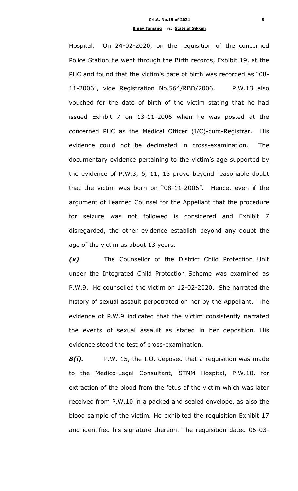Hospital. On 24-02-2020, on the requisition of the concerned Police Station he went through the Birth records, Exhibit 19, at the PHC and found that the victim's date of birth was recorded as "08-11-2006", vide Registration No.564/RBD/2006. P.W.13 also vouched for the date of birth of the victim stating that he had issued Exhibit 7 on 13-11-2006 when he was posted at the concerned PHC as the Medical Officer (I/C)-cum-Registrar. His evidence could not be decimated in cross-examination. The documentary evidence pertaining to the victim"s age supported by the evidence of P.W.3, 6, 11, 13 prove beyond reasonable doubt that the victim was born on "08-11-2006". Hence, even if the argument of Learned Counsel for the Appellant that the procedure for seizure was not followed is considered and Exhibit 7 disregarded, the other evidence establish beyond any doubt the age of the victim as about 13 years.

*(v)* The Counsellor of the District Child Protection Unit under the Integrated Child Protection Scheme was examined as P.W.9. He counselled the victim on 12-02-2020. She narrated the history of sexual assault perpetrated on her by the Appellant. The evidence of P.W.9 indicated that the victim consistently narrated the events of sexual assault as stated in her deposition. His evidence stood the test of cross-examination.

*8(i).* P.W. 15, the I.O. deposed that a requisition was made to the Medico-Legal Consultant, STNM Hospital, P.W.10, for extraction of the blood from the fetus of the victim which was later received from P.W.10 in a packed and sealed envelope, as also the blood sample of the victim. He exhibited the requisition Exhibit 17 and identified his signature thereon. The requisition dated 05-03-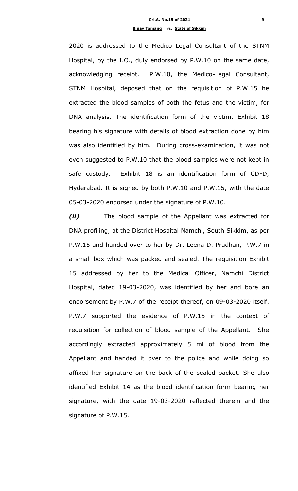2020 is addressed to the Medico Legal Consultant of the STNM Hospital, by the I.O., duly endorsed by P.W.10 on the same date, acknowledging receipt. P.W.10, the Medico-Legal Consultant, STNM Hospital, deposed that on the requisition of P.W.15 he extracted the blood samples of both the fetus and the victim, for DNA analysis. The identification form of the victim, Exhibit 18 bearing his signature with details of blood extraction done by him was also identified by him. During cross-examination, it was not even suggested to P.W.10 that the blood samples were not kept in safe custody. Exhibit 18 is an identification form of CDFD, Hyderabad. It is signed by both P.W.10 and P.W.15, with the date 05-03-2020 endorsed under the signature of P.W.10.

*(ii)* The blood sample of the Appellant was extracted for DNA profiling, at the District Hospital Namchi, South Sikkim, as per P.W.15 and handed over to her by Dr. Leena D. Pradhan, P.W.7 in a small box which was packed and sealed. The requisition Exhibit 15 addressed by her to the Medical Officer, Namchi District Hospital, dated 19-03-2020, was identified by her and bore an endorsement by P.W.7 of the receipt thereof, on 09-03-2020 itself. P.W.7 supported the evidence of P.W.15 in the context of requisition for collection of blood sample of the Appellant. She accordingly extracted approximately 5 ml of blood from the Appellant and handed it over to the police and while doing so affixed her signature on the back of the sealed packet. She also identified Exhibit 14 as the blood identification form bearing her signature, with the date 19-03-2020 reflected therein and the signature of P.W.15.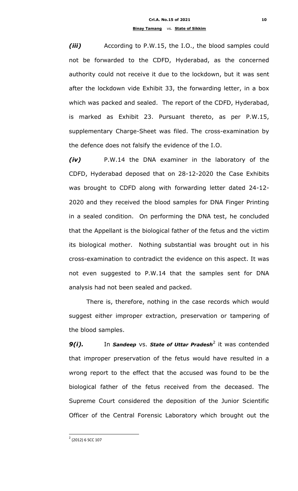*(iii)* According to P.W.15, the I.O., the blood samples could not be forwarded to the CDFD, Hyderabad, as the concerned authority could not receive it due to the lockdown, but it was sent after the lockdown vide Exhibit 33, the forwarding letter, in a box which was packed and sealed. The report of the CDFD, Hyderabad, is marked as Exhibit 23. Pursuant thereto, as per P.W.15, supplementary Charge-Sheet was filed. The cross-examination by the defence does not falsify the evidence of the I.O.

*(iv)* P.W.14 the DNA examiner in the laboratory of the CDFD, Hyderabad deposed that on 28-12-2020 the Case Exhibits was brought to CDFD along with forwarding letter dated 24-12- 2020 and they received the blood samples for DNA Finger Printing in a sealed condition. On performing the DNA test, he concluded that the Appellant is the biological father of the fetus and the victim its biological mother. Nothing substantial was brought out in his cross-examination to contradict the evidence on this aspect. It was not even suggested to P.W.14 that the samples sent for DNA analysis had not been sealed and packed.

There is, therefore, nothing in the case records which would suggest either improper extraction, preservation or tampering of the blood samples.

**9(i).** In Sandeep vs. State of Uttar Pradesh<sup>2</sup> it was contended that improper preservation of the fetus would have resulted in a wrong report to the effect that the accused was found to be the biological father of the fetus received from the deceased. The Supreme Court considered the deposition of the Junior Scientific Officer of the Central Forensic Laboratory which brought out the

1

<sup>&</sup>lt;sup>2</sup> (2012) 6 SCC 107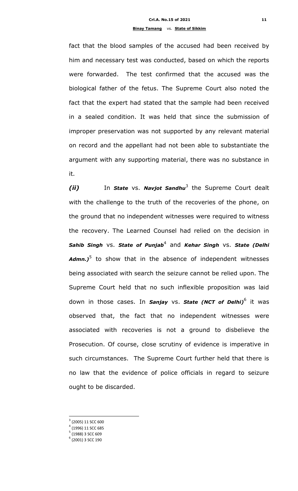fact that the blood samples of the accused had been received by him and necessary test was conducted, based on which the reports were forwarded. The test confirmed that the accused was the biological father of the fetus. The Supreme Court also noted the fact that the expert had stated that the sample had been received in a sealed condition. It was held that since the submission of improper preservation was not supported by any relevant material on record and the appellant had not been able to substantiate the argument with any supporting material, there was no substance in it.

*(ii)* In *State* vs. *Navjot Sandhu*<sup>3</sup> the Supreme Court dealt with the challenge to the truth of the recoveries of the phone, on the ground that no independent witnesses were required to witness the recovery. The Learned Counsel had relied on the decision in *Sahib Singh* vs. *State of Punjab*<sup>4</sup> and *Kehar Singh* vs. *State (Delhi*  Admn.)<sup>5</sup> to show that in the absence of independent witnesses being associated with search the seizure cannot be relied upon. The Supreme Court held that no such inflexible proposition was laid down in those cases. In *Sanjay* vs. *State (NCT of Delhi)*<sup>6</sup> it was observed that, the fact that no independent witnesses were associated with recoveries is not a ground to disbelieve the Prosecution. Of course, close scrutiny of evidence is imperative in such circumstances. The Supreme Court further held that there is no law that the evidence of police officials in regard to seizure ought to be discarded.

**.** 

<sup>&</sup>lt;sup>3</sup> (2005) 11 SCC 600

<sup>4</sup> (1996) 11 SCC 685

<sup>5</sup> (1988) 3 SCC 609

<sup>6</sup> (2001) 3 SCC 190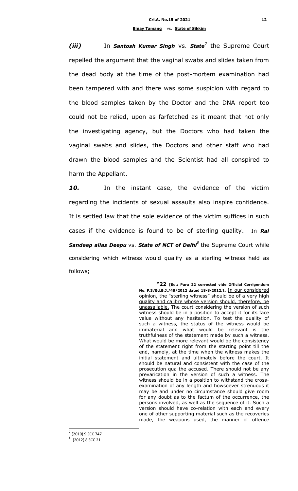*(iii)* In *Santosh Kumar Singh* vs. State<sup>7</sup> the Supreme Court repelled the argument that the vaginal swabs and slides taken from the dead body at the time of the post-mortem examination had been tampered with and there was some suspicion with regard to the blood samples taken by the Doctor and the DNA report too could not be relied, upon as farfetched as it meant that not only the investigating agency, but the Doctors who had taken the vaginal swabs and slides, the Doctors and other staff who had drawn the blood samples and the Scientist had all conspired to harm the Appellant.

*10.* In the instant case, the evidence of the victim regarding the incidents of sexual assaults also inspire confidence. It is settled law that the sole evidence of the victim suffices in such cases if the evidence is found to be of sterling quality. In *Rai*  Sandeep alias Deepu vs. State of NCT of Delhi<sup>8</sup> the Supreme Court while considering which witness would qualify as a sterling witness held as follows;

> **"22 [Ed.: Para 22 corrected vide Official Corrigendum No. F.3/Ed.B.J./48/2012 dated 18-8-2012.].** In our considered opinion, the "sterling witness" should be of a very high quality and calibre whose version should, therefore, be unassailable. The court considering the version of such witness should be in a position to accept it for its face value without any hesitation. To test the quality of such a witness, the status of the witness would be immaterial and what would be relevant is the truthfulness of the statement made by such a witness. What would be more relevant would be the consistency of the statement right from the starting point till the end, namely, at the time when the witness makes the initial statement and ultimately before the court. It should be natural and consistent with the case of the prosecution qua the accused. There should not be any prevarication in the version of such a witness. The witness should be in a position to withstand the crossexamination of any length and howsoever strenuous it may be and under no circumstance should give room for any doubt as to the factum of the occurrence, the persons involved, as well as the sequence of it. Such a version should have co-relation with each and every one of other supporting material such as the recoveries made, the weapons used, the manner of offence

**<sup>.</sup>** 7 (2010) 9 SCC 747

<sup>8</sup> (2012) 8 SCC 21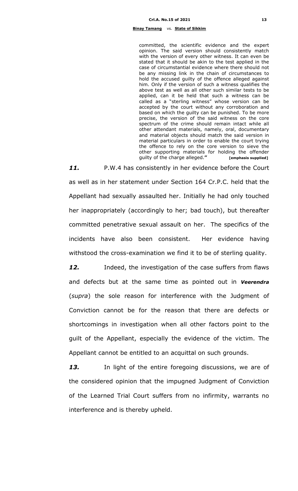#### **Binay Tamang** vs. **State of Sikkim**

committed, the scientific evidence and the expert opinion. The said version should consistently match with the version of every other witness. It can even be stated that it should be akin to the test applied in the case of circumstantial evidence where there should not be any missing link in the chain of circumstances to hold the accused guilty of the offence alleged against him. Only if the version of such a witness qualifies the above test as well as all other such similar tests to be applied, can it be held that such a witness can be called as a "sterling witness" whose version can be accepted by the court without any corroboration and based on which the guilty can be punished. To be more precise, the version of the said witness on the core spectrum of the crime should remain intact while all other attendant materials, namely, oral, documentary and material objects should match the said version in material particulars in order to enable the court trying the offence to rely on the core version to sieve the other supporting materials for holding the offender guilty of the charge alleged.**" [emphasis supplied]**

11. P.W.4 has consistently in her evidence before the Court as well as in her statement under Section 164 Cr.P.C. held that the Appellant had sexually assaulted her. Initially he had only touched her inappropriately (accordingly to her; bad touch), but thereafter committed penetrative sexual assault on her. The specifics of the incidents have also been consistent. Her evidence having withstood the cross-examination we find it to be of sterling quality.

12. Indeed, the investigation of the case suffers from flaws and defects but at the same time as pointed out in *Veerendra* (*supra*) the sole reason for interference with the Judgment of Conviction cannot be for the reason that there are defects or shortcomings in investigation when all other factors point to the guilt of the Appellant, especially the evidence of the victim. The Appellant cannot be entitled to an acquittal on such grounds.

13. In light of the entire foregoing discussions, we are of the considered opinion that the impugned Judgment of Conviction of the Learned Trial Court suffers from no infirmity, warrants no interference and is thereby upheld.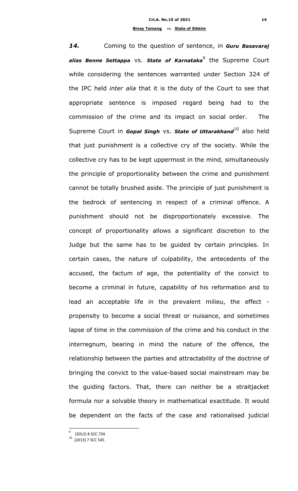*14.* Coming to the question of sentence, in *Guru Basavaraj alias Benne Settappa* vs. *State of Karnataka*<sup>9</sup> the Supreme Court while considering the sentences warranted under Section 324 of the IPC held *inter alia* that it is the duty of the Court to see that appropriate sentence is imposed regard being had to the commission of the crime and its impact on social order. The Supreme Court in *Gopal Singh* vs. **State of Uttarakhand**<sup>10</sup> also held that just punishment is a collective cry of the society. While the collective cry has to be kept uppermost in the mind, simultaneously the principle of proportionality between the crime and punishment cannot be totally brushed aside. The principle of just punishment is the bedrock of sentencing in respect of a criminal offence. A punishment should not be disproportionately excessive. The concept of proportionality allows a significant discretion to the Judge but the same has to be guided by certain principles. In certain cases, the nature of culpability, the antecedents of the accused, the factum of age, the potentiality of the convict to become a criminal in future, capability of his reformation and to lead an acceptable life in the prevalent milieu, the effect propensity to become a social threat or nuisance, and sometimes lapse of time in the commission of the crime and his conduct in the interregnum, bearing in mind the nature of the offence, the relationship between the parties and attractability of the doctrine of bringing the convict to the value-based social mainstream may be the guiding factors. That, there can neither be a straitjacket formula nor a solvable theory in mathematical exactitude. It would be dependent on the facts of the case and rationalised judicial

**.** 

<sup>9</sup> (2012) 8 SCC 734

<sup>10</sup> (2013) 7 SCC 545